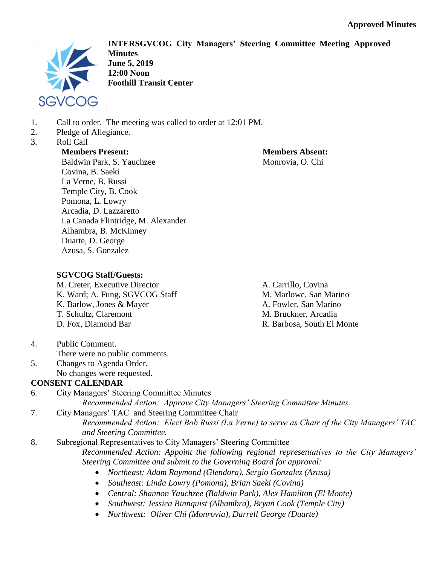

**INTERSGVCOG City Managers' Steering Committee Meeting Approved Minutes June 5, 2019 12:00 Noon Foothill Transit Center**

- 1. Call to order. The meeting was called to order at 12:01 PM.
- 2. Pledge of Allegiance.
- 3. Roll Call

**Members Absent:** Monrovia, O. Chi

**Members Present:** Baldwin Park, S. Yauchzee Covina, B. Saeki La Verne, B. Russi Temple City, B. Cook Pomona, L. Lowry Arcadia, D. Lazzaretto La Canada Flintridge, M. Alexander Alhambra, B. McKinney Duarte, D. George Azusa, S. Gonzalez

# **SGVCOG Staff/Guests:**

M. Creter, Executive Director K. Ward; A. Fung, SGVCOG Staff K. Barlow, Jones & Mayer T. Schultz, Claremont D. Fox, Diamond Bar

A. Carrillo, Covina M. Marlowe, San Marino A. Fowler, San Marino M. Bruckner, Arcadia R. Barbosa, South El Monte

- 4. Public Comment. There were no public comments.
- 5. Changes to Agenda Order. No changes were requested.

# **CONSENT CALENDAR**

- 6. City Managers' Steering Committee Minutes *Recommended Action: Approve City Managers' Steering Committee Minutes.*
- 7. City Managers' TAC and Steering Committee Chair *Recommended Action: Elect Bob Russi (La Verne) to serve as Chair of the City Managers' TAC and Steering Committee.*
- 8. Subregional Representatives to City Managers' Steering Committee *Recommended Action: Appoint the following regional representatives to the City Managers' Steering Committee and submit to the Governing Board for approval:* 
	- *Northeast: Adam Raymond (Glendora), Sergio Gonzalez (Azusa)*
	- *Southeast: Linda Lowry (Pomona), Brian Saeki (Covina)*
	- *Central: Shannon Yauchzee (Baldwin Park), Alex Hamilton (El Monte)*
	- *Southwest: Jessica Binnquist (Alhambra), Bryan Cook (Temple City)*
	- *Northwest: Oliver Chi (Monrovia), Darrell George (Duarte)*